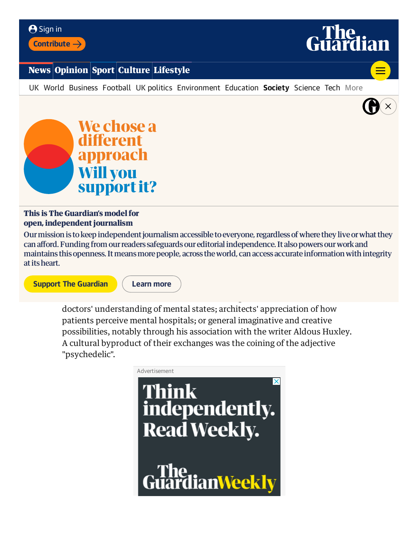<span id="page-0-0"></span>



**0**

### **[News](https://www.theguardian.com/us) [Opinion](https://www.theguardian.com/us/commentisfree) [Sport](https://www.theguardian.com/us/sport) [Culture](https://www.theguardian.com/us/culture) [Lifestyle](https://www.theguardian.com/us/lifeandstyle)**

UK World Business Football UK politics [Environment](https://www.theguardian.com/uk-news) [Education](https://www.theguardian.com/education) **[Society](https://www.theguardian.com/society)** [Science](https://www.theguardian.com/science) Tech [More](https://www.theguardian.com/us/technology)





#### The outstanding achievement of the psychiatrist Dr Humphry Osmond, who **open, independent journalism This** is **The Guardian's** model for

Our mission is to keep independent journalism accessible to everyone, regardless of where they live or what they can afford. Funding from our readers safeguards our editorial independence. It also powers our work and maintains this openness. It means more people, across the world, can access accurate information with integrity<br>at its haart atitsheart.

The Guardian  $\mathcal{L}$  became more than  $\mathcal{L}$  and  $\mathcal{L}$  a century, a century, a century, a century, a century, a century, a century, a century, a century, a century, a century, a century, a century, a century, a cent **Support The [Guardian](https://support.theguardian.com/contribute?REFPVID=jszh3lfv2ut62134irjg&INTCMP=FebruaryMomentBannerColour_control&acquisitionData=%7B%22source%22%3A%22GUARDIAN_WEB%22%2C%22componentId%22%3A%22FebruaryMomentBannerColour_control%22%2C%22componentType%22%3A%22ACQUISITIONS_ENGAGEMENT_BANNER%22%2C%22campaignCode%22%3A%22FebruaryMomentBannerColour_control%22%2C%22abTest%22%3A%7B%22name%22%3A%22FebruaryMomentBannerColour%22%2C%22variant%22%3A%22control%22%7D%2C%22referrerPageviewId%22%3A%22jszh3lfv2ut62134irjg%22%2C%22referrerUrl%22%3A%22https%3A%2F%2Fwww.theguardian.com%2Fsociety%2F2004%2Ffeb%2F26%2Fmentalhealth.guardianobituaries%22%7D) Learn more**

doctors' understanding of mental states; architects' appreciation of how patients perceive mental hospitals; or general imaginative and creative possibilities, notably through his association with the writer Aldous Huxley. A cultural byproduct of their exchanges was the coining of the adjective "psychedelic".

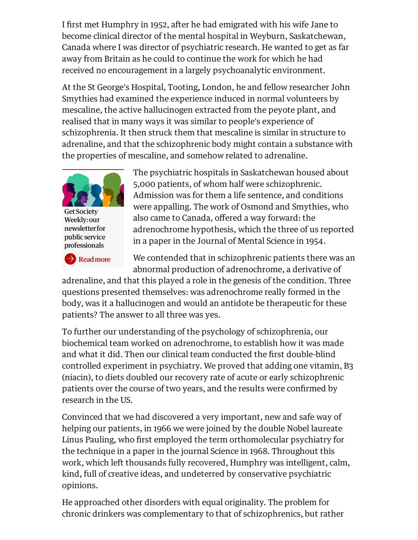I first met Humphry in 1952, after he had emigrated with his wife Jane to become clinical director of the mental hospital in Weyburn, Saskatchewan, Canada where I was director of psychiatric research. He wanted to get as far away from Britain as he could to continue the work for which he had received no encouragement in a largely psychoanalytic environment.

At the St George's Hospital, Tooting, London, he and fellow researcher John Smythies had examined the experience induced in normal volunteers by mescaline, the active hallucinogen extracted from the peyote plant, and realised that in many ways it was similar to people's experience of schizophrenia. It then struck them that mescaline is similar in structure to adrenaline, and that the schizophrenic body might contain a substance with the properties of mescaline, and somehow related to adrenaline.



newsletterfor public service professionals

 $\rightarrow$  Readmore

The psychiatric hospitals in Saskatchewan housed about 5,000 patients, of whom half were schizophrenic. Admission was for them a life sentence, and conditions were appalling. The work of Osmond and Smythies, who also came to Canada, offered a way forward: the adrenochrome hypothesis, which the three of us reported in a paper in the Journal of Mental Science in 1954.

We contended that in schizophrenic patients there was an abnormal production of adrenochrome, a derivative of

adrenaline, and that this played a role in the genesis of the condition. Three questions presented themselves: was adrenochrome really formed in the body, was it a hallucinogen and would an antidote be therapeutic for these patients? The answer to all three was yes.

To further our understanding of the psychology of schizophrenia, our biochemical team worked on adrenochrome, to establish how it was made and what it did. Then our clinical team conducted the first double-blind controlled experiment in psychiatry. We proved that adding one vitamin, B3 (niacin), to diets doubled our recovery rate of acute or early schizophrenic patients over the course of two years, and the results were confirmed by research in the US.

Convinced that we had discovered a very important, new and safe way of helping our patients, in 1966 we were joined by the double Nobel laureate Linus Pauling, who first employed the term orthomolecular psychiatry for the technique in a paper in the journal Science in 1968. Throughout this work, which left thousands fully recovered, Humphry was intelligent, calm, kind, full of creative ideas, and undeterred by conservative psychiatric opinions.

He approached other disorders with equal originality. The problem for chronic drinkers was complementary to that of schizophrenics, but rather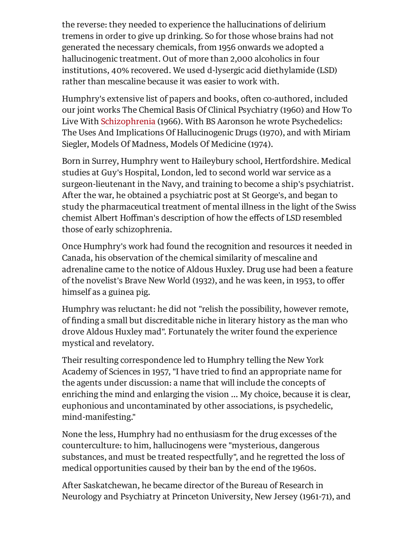the reverse: they needed to experience the hallucinations of delirium tremens in order to give up drinking. So for those whose brains had not generated the necessary chemicals, from 1956 onwards we adopted a hallucinogenic treatment. Out of more than 2,000 alcoholics in four institutions, 40% recovered. We used d-lysergic acid diethylamide (LSD) rather than mescaline because it was easier to work with.

Humphry's extensive list of papers and books, often co-authored, included our joint works The Chemical Basis Of Clinical Psychiatry (1960) and How To Live With [Schizophrenia](https://www.theguardian.com/society/schizophrenia) (1966). With BS Aaronson he wrote Psychedelics: The Uses And Implications Of Hallucinogenic Drugs (1970), and with Miriam Siegler, Models Of Madness, Models Of Medicine (1974).

Born in Surrey, Humphry went to Haileybury school, Hertfordshire. Medical studies at Guy's Hospital, London, led to second world war service as a surgeon-lieutenant in the Navy, and training to become a ship's psychiatrist. After the war, he obtained a psychiatric post at St George's, and began to study the pharmaceutical treatment of mental illness in the light of the Swiss chemist Albert Hoffman's description of how the effects of LSD resembled those of early schizophrenia.

Once Humphry's work had found the recognition and resources it needed in Canada, his observation of the chemical similarity of mescaline and adrenaline came to the notice of Aldous Huxley. Drug use had been a feature of the novelist's Brave New World (1932), and he was keen, in 1953, to offer himself as a guinea pig.

Humphry was reluctant: he did not "relish the possibility, however remote, of finding a small but discreditable niche in literary history as the man who drove Aldous Huxley mad". Fortunately the writer found the experience mystical and revelatory.

Their resulting correspondence led to Humphry telling the New York Academy of Sciences in 1957, "I have tried to find an appropriate name for the agents under discussion: a name that will include the concepts of enriching the mind and enlarging the vision ... My choice, because it is clear, euphonious and uncontaminated by other associations, is psychedelic, mind-manifesting."

None the less, Humphry had no enthusiasm for the drug excesses of the counterculture: to him, hallucinogens were "mysterious, dangerous substances, and must be treated respectfully", and he regretted the loss of medical opportunities caused by their ban by the end of the 1960s.

After Saskatchewan, he became director of the Bureau of Research in Neurology and Psychiatry at Princeton University, New Jersey (1961-71), and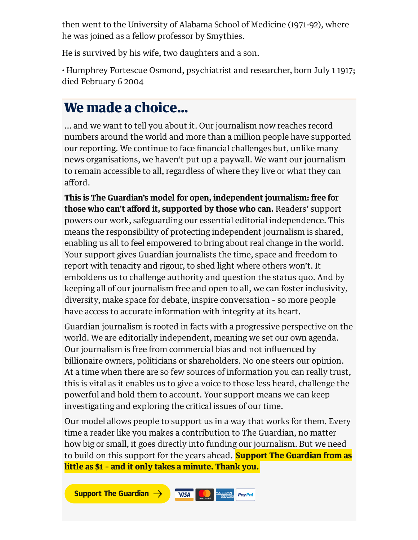then went to the University of Alabama School of Medicine (1971-92), where he was joined as a fellow professor by Smythies.

He is survived by his wife, two daughters and a son.

**·** Humphrey Fortescue Osmond, psychiatrist and researcher, born July 1 1917; died February 6 2004

# **We made a choice…**

… and we want to tell you about it. Our journalism now reaches record numbers around the world and more than a million people have supported our reporting. We continue to face financial challenges but, unlike many news organisations, we haven't put up a paywall. We want our journalism to remain accessible to all, regardless of where they live or what they can afford.

**This is The Guardian's model for open, independent journalism: free for those who can't afford it, supported by those who can.** Readers' support powers our work, safeguarding our essential editorial independence. This means the responsibility of protecting independent journalism is shared, enabling us all to feel empowered to bring about real change in the world. Your support gives Guardian journalists the time, space and freedom to report with tenacity and rigour, to shed light where others won't. It emboldens us to challenge authority and question the status quo. And by keeping all of our journalism free and open to all, we can foster inclusivity, diversity, make space for debate, inspire conversation – so more people have access to accurate information with integrity at its heart.

Guardian journalism is rooted in facts with a progressive perspective on the world. We are editorially independent, meaning we set our own agenda. Our journalism is free from commercial bias and not influenced by billionaire owners, politicians or shareholders. No one steers our opinion. At a time when there are so few sources of information you can really trust, this is vital as it enables us to give a voice to those less heard, challenge the powerful and hold them to account. Your support means we can keep investigating and exploring the critical issues of our time.

Our model allows people to support us in a way that works for them. Every time a reader like you makes a contribution to The Guardian, no matter how big or small, it goes directly into funding our journalism. But we need to build on this support for the years ahead. **Support The Guardian from as little as \$1 – and it only takes a minute. Thank you.**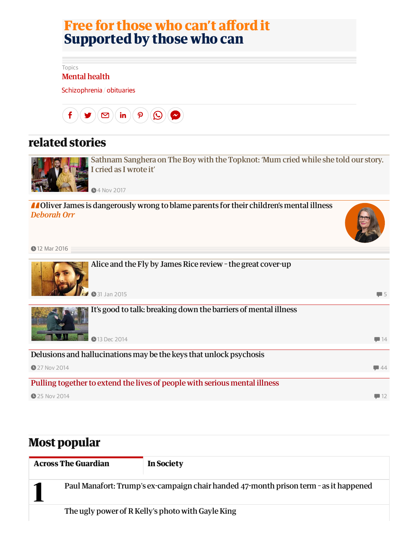# **Free for those who can't afford it Supported by those who can**

Topics

#### [Mental](https://www.theguardian.com/society/mental-health) health

[Schizophrenia/](https://www.theguardian.com/society/schizophrenia) [obituaries](https://www.theguardian.com/tone/obituaries)



## **related stories**



Sathnam Sanghera on The Boy with the Topknot: 'Mum cried while she told our story. I cried as I wrote it'

**4 Nov 2017** 

*Deborah Orr* **All Oliver James is [dangerously](https://www.theguardian.com/society/2016/mar/12/oliver-james-is-wrong-to-blame-parents-for-their-childrens-mental-illness) wrong to blame parents for their children's mental illness** 

**12 Mar 2016** 



### **Most [popular](https://www.theguardian.com/most-read/society)**

<span id="page-4-0"></span>Paul Manafort: Trump's ex-campaign chair handed 47-month prison term - as it happened The ugly power of R [Kelly's](https://www.theguardian.com/music/2019/mar/07/the-ugly-power-of-r-kellys-photo-with-gayle-king) photo with Gayle King **Across The [Guardian](#page-4-0) In Society**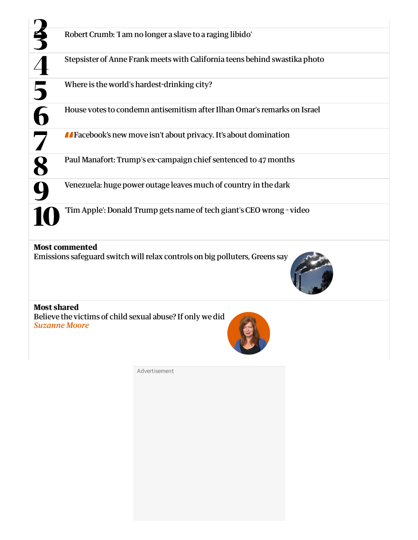|                                                                                                         | Robert Crumb: 'I am no longer a slave to a raging libido'                  |  |
|---------------------------------------------------------------------------------------------------------|----------------------------------------------------------------------------|--|
|                                                                                                         | Stepsister of Anne Frank meets with California teens behind swastika photo |  |
| 5                                                                                                       | Where is the world's hardest-drinking city?                                |  |
| 6                                                                                                       | House votes to condemn antisemitism after Ilhan Omar's remarks on Israel   |  |
| 7                                                                                                       | <b>A</b> Facebook's new move isn't about privacy. It's about domination    |  |
| 8                                                                                                       | Paul Manafort: Trump's ex-campaign chief sentenced to 47 months            |  |
|                                                                                                         | Venezuela: huge power outage leaves much of country in the dark            |  |
|                                                                                                         | "Tim Apple': Donald Trump gets name of tech giant's CEO wrong - video      |  |
| <b>Most commented</b><br>Emissions safeguard switch will relax controls on big polluters, Greens say    |                                                                            |  |
| <b>Most shared</b><br>Believe the victims of child sexual abuse? If only we did<br><b>Suzanne Moore</b> |                                                                            |  |

Advertisement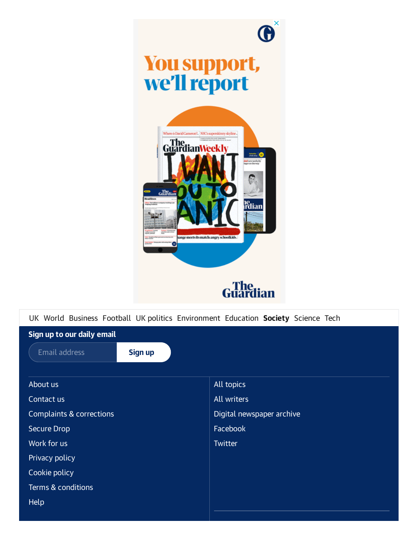

UK World Business Football UK politics [Environment](https://www.theguardian.com/uk-news) [Education](https://www.theguardian.com/education) **[Society](https://www.theguardian.com/society)** [Science](https://www.theguardian.com/science) [Tech](https://www.theguardian.com/us/technology)

| Sign up to our daily email |                           |  |  |
|----------------------------|---------------------------|--|--|
| Email address<br>Sign up   |                           |  |  |
| About us                   | All topics                |  |  |
| Contact us                 | All writers               |  |  |
| Complaints & corrections   | Digital newspaper archive |  |  |
| Secure Drop                | Facebook                  |  |  |
| Work for us                | Twitter                   |  |  |
| Privacy policy             |                           |  |  |
| Cookie policy              |                           |  |  |
| Terms & conditions         |                           |  |  |
| <b>Help</b>                |                           |  |  |
|                            |                           |  |  |